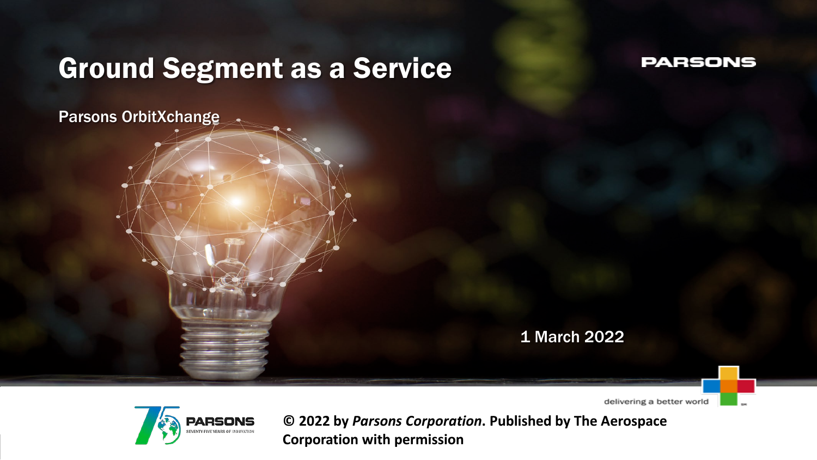## Ground Segment as a Service

#### **PARSONS**

Parsons OrbitXchange

1 March 2022

delivering a better world



**Corporation with permission © 2022 by** *Parsons Corporation***. Published by The Aerospace**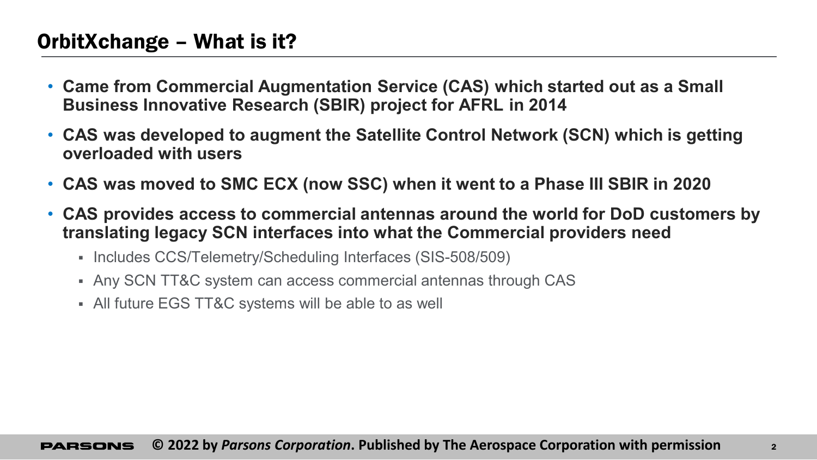### OrbitXchange – What is it?

- **Came from Commercial Augmentation Service (CAS) which started out as a Small Business Innovative Research (SBIR) project for AFRL in 2014**
- **CAS was developed to augment the Satellite Control Network (SCN) which is getting overloaded with users**
- **CAS was moved to SMC ECX (now SSC) when it went to a Phase III SBIR in 2020**
- **CAS provides access to commercial antennas around the world for DoD customers by translating legacy SCN interfaces into what the Commercial providers need**
	- Includes CCS/Telemetry/Scheduling Interfaces (SIS-508/509)
	- Any SCN TT&C system can access commercial antennas through CAS
	- All future EGS TT&C systems will be able to as well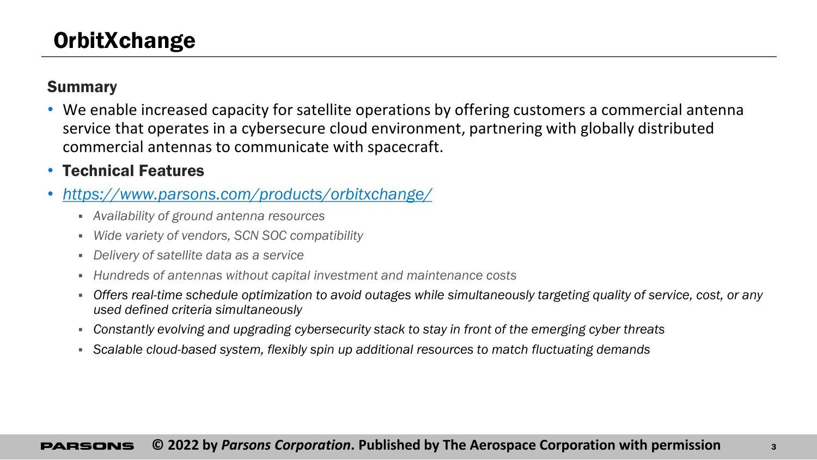#### Summary

• We enable increased capacity for satellite operations by offering customers a commercial antenna service that operates in a cybersecure cloud environment, partnering with globally distributed commercial antennas to communicate with spacecraft.

### • Technical Features

- *<https://www.parsons.com/products/orbitxchange/>*
	- *Availability of ground antenna resources*
	- *Wide variety of vendors, SCN SOC compatibility*
	- *Delivery of satellite data as a service*
	- *Hundreds of antennas without capital investment and maintenance costs*
	- *Offers real-time schedule optimization to avoid outages while simultaneously targeting quality of service, cost, or any used defined criteria simultaneously*
	- *Constantly evolving and upgrading cybersecurity stack to stay in front of the emerging cyber threats*
	- *Scalable cloud-based system, flexibly spin up additional resources to match fluctuating demands*

#### **© 2022 by** *Parsons Corporation***. Published by The Aerospace Corporation with permission** <sup>3</sup>PARSONS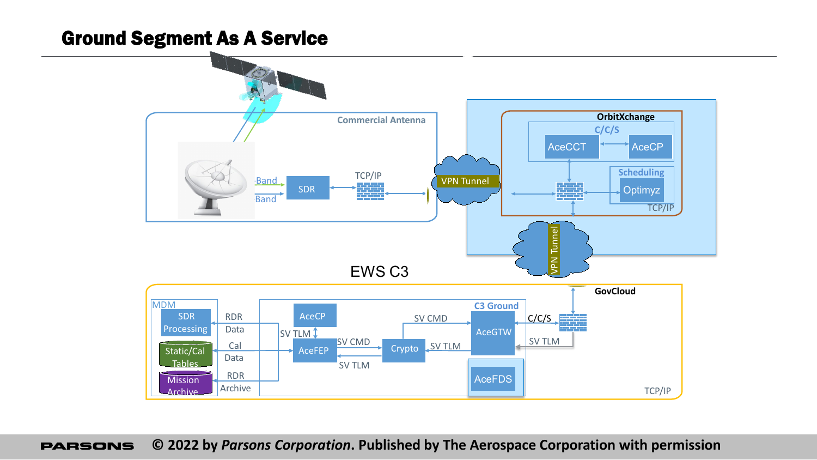## Parsons C3 EWS Big Picture Ground Segment As A Service



**© 2022 by** *Parsons Corporation***. Published by The Aerospace Corporation with permissionPARSONS**